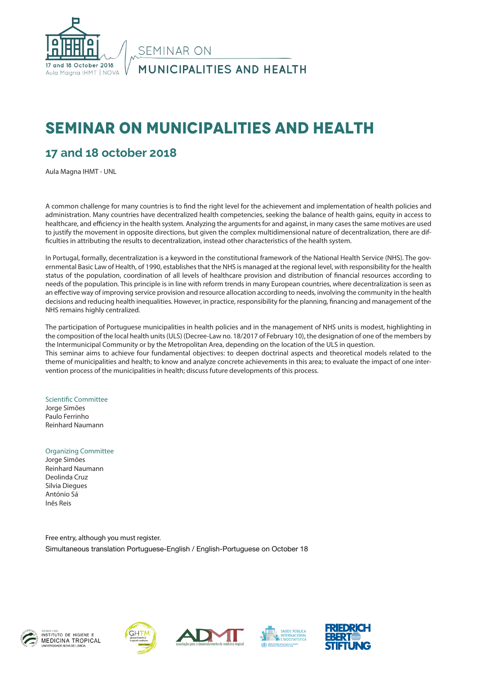

# **SEMINAR ON MUNICIPALITIES AND HEALTH**

#### **17 and 18 october 2018**

Aula Magna IHMT - UNL

A common challenge for many countries is to find the right level for the achievement and implementation of health policies and administration. Many countries have decentralized health competencies, seeking the balance of health gains, equity in access to healthcare, and efficiency in the health system. Analyzing the arguments for and against, in many cases the same motives are used to justify the movement in opposite directions, but given the complex multidimensional nature of decentralization, there are difficulties in attributing the results to decentralization, instead other characteristics of the health system.

In Portugal, formally, decentralization is a keyword in the constitutional framework of the National Health Service (NHS). The governmental Basic Law of Health, of 1990, establishes that the NHS is managed at the regional level, with responsibility for the health status of the population, coordination of all levels of healthcare provision and distribution of financial resources according to needs of the population. This principle is in line with reform trends in many European countries, where decentralization is seen as an effective way of improving service provision and resource allocation according to needs, involving the community in the health decisions and reducing health inequalities. However, in practice, responsibility for the planning, financing and management of the NHS remains highly centralized.

The participation of Portuguese municipalities in health policies and in the management of NHS units is modest, highlighting in the composition of the local health units (ULS) (Decree-Law no. 18/2017 of February 10), the designation of one of the members by the Intermunicipal Community or by the Metropolitan Area, depending on the location of the ULS in question. This seminar aims to achieve four fundamental objectives: to deepen doctrinal aspects and theoretical models related to the theme of municipalities and health; to know and analyze concrete achievements in this area; to evaluate the impact of one inter-

Scientific Committee

Jorge Simões Paulo Ferrinho Reinhard Naumann

Organizing Committee

Jorge Simões Reinhard Naumann Deolinda Cruz Silvia Diegues António Sá Inês Reis

Free entry, although you must register. Simultaneous translation Portuguese-English / English-Portuguese on October 18

vention process of the municipalities in health; discuss future developments of this process.











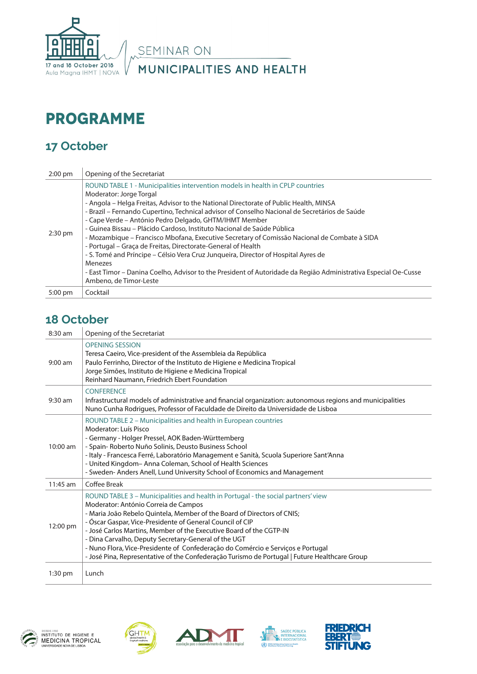

SEMINAR ON

MUNICIPALITIES AND HEALTH

# **Programme**

### **17 October**

| $2:00$ pm         | Opening of the Secretariat                                                                                                                                                                                                                                                                                                                                                                                                                                                                                                                                                                                                                                                                                                                                                                                                                            |
|-------------------|-------------------------------------------------------------------------------------------------------------------------------------------------------------------------------------------------------------------------------------------------------------------------------------------------------------------------------------------------------------------------------------------------------------------------------------------------------------------------------------------------------------------------------------------------------------------------------------------------------------------------------------------------------------------------------------------------------------------------------------------------------------------------------------------------------------------------------------------------------|
| $2:30 \text{ pm}$ | ROUND TABLE 1 - Municipalities intervention models in health in CPLP countries<br>Moderator: Jorge Torgal<br>- Angola – Helga Freitas, Advisor to the National Directorate of Public Health, MINSA<br>- Brazil - Fernando Cupertino, Technical advisor of Conselho Nacional de Secretários de Saúde<br>- Cape Verde - António Pedro Delgado, GHTM/IHMT Member<br>- Guinea Bissau – Plácido Cardoso, Instituto Nacional de Saúde Pública<br>- Mozambique – Francisco Mbofana, Executive Secretary of Comissão Nacional de Combate à SIDA<br>- Portugal - Graça de Freitas, Directorate-General of Health<br>- S. Tomé and Príncipe – Célsio Vera Cruz Junqueira, Director of Hospital Ayres de<br>Menezes<br>- East Timor – Danina Coelho, Advisor to the President of Autoridade da Região Administrativa Especial Oe-Cusse<br>Ambeno, de Timor-Leste |
| 5:00 pm           | Cocktail                                                                                                                                                                                                                                                                                                                                                                                                                                                                                                                                                                                                                                                                                                                                                                                                                                              |

#### **18 October**

| 8:30 am    | Opening of the Secretariat                                                                                                                                                                                                                                                                                                                                                                                                                                                                                                                                                           |
|------------|--------------------------------------------------------------------------------------------------------------------------------------------------------------------------------------------------------------------------------------------------------------------------------------------------------------------------------------------------------------------------------------------------------------------------------------------------------------------------------------------------------------------------------------------------------------------------------------|
| $9:00$ am  | <b>OPENING SESSION</b><br>Teresa Caeiro, Vice-president of the Assembleia da República<br>Paulo Ferrinho, Director of the Instituto de Higiene e Medicina Tropical<br>Jorge Simões, Instituto de Higiene e Medicina Tropical<br>Reinhard Naumann, Friedrich Ebert Foundation                                                                                                                                                                                                                                                                                                         |
| 9:30 am    | <b>CONFERENCE</b><br>Infrastructural models of administrative and financial organization: autonomous regions and municipalities<br>Nuno Cunha Rodrigues, Professor of Faculdade de Direito da Universidade de Lisboa                                                                                                                                                                                                                                                                                                                                                                 |
| 10:00 am   | ROUND TABLE 2 - Municipalities and health in European countries<br>Moderator: Luís Pisco<br>- Germany - Holger Pressel, AOK Baden-Württemberg<br>- Spain- Roberto Nuño Solinis, Deusto Business School<br>- Italy - Francesca Ferré, Laboratório Management e Sanità, Scuola Superiore Sant'Anna<br>- United Kingdom-Anna Coleman, School of Health Sciences<br>- Sweden-Anders Anell, Lund University School of Economics and Management                                                                                                                                            |
| $11:45$ am | Coffee Break                                                                                                                                                                                                                                                                                                                                                                                                                                                                                                                                                                         |
| 12:00 pm   | ROUND TABLE 3 - Municipalities and health in Portugal - the social partners' view<br>Moderator: António Correia de Campos<br>- Maria João Rebelo Quintela, Member of the Board of Directors of CNIS;<br>- Óscar Gaspar, Vice-Presidente of General Council of CIP<br>- José Carlos Martins, Member of the Executive Board of the CGTP-IN<br>- Dina Carvalho, Deputy Secretary-General of the UGT<br>- Nuno Flora, Vice-Presidente of Confederação do Comércio e Serviços e Portugal<br>- José Pina, Representative of the Confederação Turismo de Portugal   Future Healthcare Group |
| $1:30$ pm  | Lunch                                                                                                                                                                                                                                                                                                                                                                                                                                                                                                                                                                                |